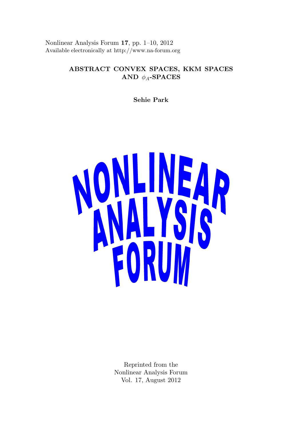Nonlinear Analysis Forum 17, pp. 1–10, 2012 Available electronically at http://www.na-forum.org

# ABSTRACT CONVEX SPACES, KKM SPACES AND  $\phi_A$ -SPACES

Sehie Park



Reprinted from the Nonlinear Analysis Forum Vol. 17, August 2012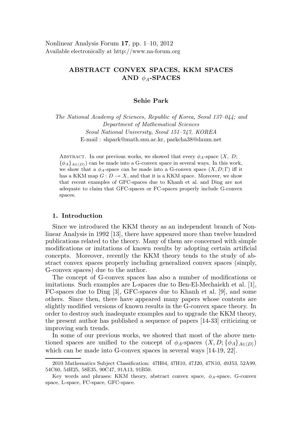# ABSTRACT CONVEX SPACES, KKM SPACES AND  $\phi_A$ -SPACES

## Sehie Park

The National Academy of Sciences, Republic of Korea, Seoul 137–044; and Department of Mathematical Sciences Seoul National University, Seoul 151–747, KOREA E-mail : shpark@math.snu.ac.kr, parkcha38@daum.net

ABSTRACT. In our previous works, we showed that every  $\phi_A$ -space  $(X, D;$  ${\phi_A}_{A\in(D)}$  can be made into a G-convex space in several ways. In this work, we show that a  $\phi_A$ -space can be made into a G-convex space  $(X, D; \Gamma)$  iff it has a KKM map  $G: D \to X$ , and that it is a KKM space. Moreover, we show that recent examples of GFC-spaces due to Khanh et al. and Ding are not adequate to claim that GFC-spaces or FC-spaces properly include G-convex spaces.

## 1. Introduction

Since we introduced the KKM theory as an independent branch of Nonlinear Analysis in 1992 [13], there have appeared more than twelve hundred publications related to the theory. Many of them are concerned with simple modifications or imitations of known results by adopting certain artificial concepts. Moreover, recently the KKM theory tends to the study of abstract convex spaces properly including generalized convex spaces (simply, G-convex spaces) due to the author.

The concept of G-convex spaces has also a number of modifications or imitations. Such examples are L-spaces due to Ben-El-Mechaiekh et al. [1], FC-spaces due to Ding [3], GFC-spaces due to Khanh et al. [9], and some others. Since then, there have appeared many papers whose contents are slightly modified versions of known results in the G-convex space theory. In order to destroy such inadequate examples and to upgrade the KKM theory, the present author has published a sequence of papers [14-33] criticizing or improving such trends.

In some of our previous works, we showed that most of the above mentioned spaces are unified to the concept of  $\phi_A$ -spaces  $(X, D; {\phi_A}_{A\in(D)})$ which can be made into G-convex spaces in several ways [14-19, 22].

<sup>2010</sup> Mathematics Subject Classification: 47H04, 47H10, 47J20, 47N10, 49J53, 52A99, 54C60, 54H25, 58E35, 90C47, 91A13, 91B50.

Key words and phrases: KKM theory, abstract convex space,  $\phi_A$ -space, G-convex space, L-space, FC-space, GFC-space.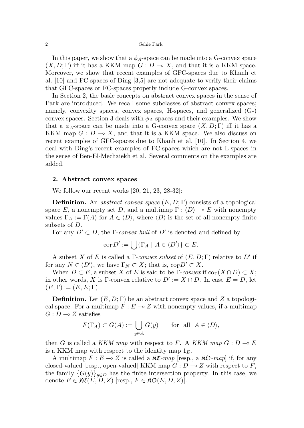In this paper, we show that a  $\phi_A$ -space can be made into a G-convex space  $(X, D; \Gamma)$  iff it has a KKM map  $G: D \to X$ , and that it is a KKM space. Moreover, we show that recent examples of GFC-spaces due to Khanh et al. [10] and FC-spaces of Ding [3,5] are not adequate to verify their claims that GFC-spaces or FC-spaces properly include G-convex spaces.

In Section 2, the basic concepts on abstract convex spaces in the sense of Park are introduced. We recall some subclasses of abstract convex spaces; namely, convexity spaces, convex spaces, H-spaces, and generalized (G-) convex spaces. Section 3 deals with  $\phi_A$ -spaces and their examples. We show that a  $\phi_A$ -space can be made into a G-convex space  $(X, D; \Gamma)$  iff it has a KKM map  $G: D \multimap X$ , and that it is a KKM space. We also discuss on recent examples of GFC-spaces due to Khanh et al. [10]. In Section 4, we deal with Ding's recent examples of FC-spaces which are not L-spaces in the sense of Ben-El-Mechaiekh et al. Several comments on the examples are added.

### 2. Abstract convex spaces

We follow our recent works [20, 21, 23, 28-32]:

**Definition.** An abstract convex space  $(E, D; \Gamma)$  consists of a topological space E, a nonempty set D, and a multimap  $\Gamma : \langle D \rangle \to E$  with nonempty values  $\Gamma_A := \Gamma(A)$  for  $A \in \langle D \rangle$ , where  $\langle D \rangle$  is the set of all nonempty finite subsets of D.

For any  $D' \subset D$ , the *Γ-convex hull* of  $D'$  is denoted and defined by

$$
\mathrm{co}_{\Gamma} D' := \bigcup \{ \Gamma_A \mid A \in \langle D' \rangle \} \subset E.
$$

A subset X of E is called a  $\Gamma$ -convex subset of  $(E, D; \Gamma)$  relative to D' if for any  $N \in \langle D' \rangle$ , we have  $\Gamma_N \subset X$ ; that is,  $\text{co}_{\Gamma} D' \subset X$ .

When  $D \subset E$ , a subset X of E is said to be Γ-convex if  $\text{co}_{\Gamma}(X \cap D) \subset X$ ; in other words, X is Γ-convex relative to  $D' := X \cap D$ . In case  $E = D$ , let  $(E; \Gamma) := (E, E; \Gamma).$ 

**Definition.** Let  $(E, D; \Gamma)$  be an abstract convex space and Z a topological space. For a multimap  $F : E \to Z$  with nonempty values, if a multimap  $G: D \longrightarrow Z$  satisfies

$$
F(\Gamma_A) \subset G(A) := \bigcup_{y \in A} G(y) \quad \text{for all } A \in \langle D \rangle,
$$

then G is called a KKM map with respect to F. A KKM map  $G: D \to E$ is a KKM map with respect to the identity map  $1<sub>E</sub>$ .

A multimap  $F : E \to Z$  is called a  $\Re \mathfrak{C}$ -map [resp., a  $\Re \mathfrak{D}$ -map] if, for any closed-valued [resp., open-valued] KKM map  $G: D \to Z$  with respect to F, the family  $\{G(y)\}_{y\in D}$  has the finite intersection property. In this case, we denote  $F \in \mathfrak{RC}(E, D, Z)$  [resp.,  $F \in \mathfrak{RD}(E, D, Z)$ ].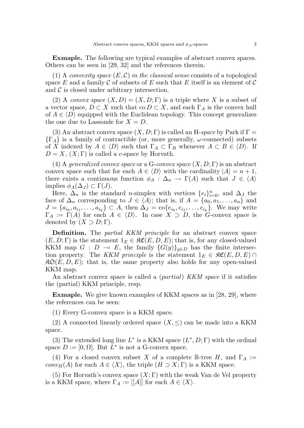Exmaple. The following are typical examples of abstract convex spaces. Others can be seen in [29, 32] and the references therein.

(1) A convexity space  $(E, \mathcal{C})$  in the classical sense consists of a topological space E and a family C of subsets of E such that E itself is an element of C and  $\mathcal C$  is closed under arbitrary intersection.

(2) A convex space  $(X, D) = (X, D; \Gamma)$  is a triple where X is a subset of a vector space,  $D \subset X$  such that co  $D \subset X$ , and each  $\Gamma_A$  is the convex hull of  $A \in \langle D \rangle$  equipped with the Euclidean topology. This concept generalizes the one due to Lassonde for  $X = D$ .

(3) An abstract convex space  $(X, D; \Gamma)$  is called an H-space by Park if  $\Gamma$  =  $\{\Gamma_A\}$  is a family of contractible (or, more generally,  $\omega$ -connected) subsets of X indexed by  $A \in \langle D \rangle$  such that  $\Gamma_A \subset \Gamma_B$  whenever  $A \subset B \in \langle D \rangle$ . If  $D = X$ ,  $(X; \Gamma)$  is called a c-space by Horvath.

(4) A generalized convex space or a G-convex space  $(X, D; \Gamma)$  is an abstract convex space such that for each  $A \in \langle D \rangle$  with the cardinality  $|A| = n + 1$ , there exists a continuous function  $\phi_A : \Delta_n \to \Gamma(A)$  such that  $J \in \langle A \rangle$ implies  $\phi_A(\Delta_J) \subset \Gamma(J)$ .

Here,  $\Delta_n$  is the standard *n*-simplex with vertices  $\{e_i\}_{i=0}^n$ , and  $\Delta_j$  the face of  $\Delta_n$  corresponding to  $J \in \langle A \rangle$ ; that is, if  $A = \{a_0, a_1, \ldots, a_n\}$  and  $J = \{a_{i_0}, a_{i_1}, \ldots, a_{i_k}\} \subset A$ , then  $\Delta_J = \text{co}\{e_{i_0}, e_{i_1}, \ldots, e_{i_k}\}$ . We may write  $\Gamma_A := \Gamma(A)$  for each  $A \in \langle D \rangle$ . In case  $X \supset D$ , the G-convex space is denoted by  $(X \supset D; \Gamma)$ .

Definition. The *partial KKM principle* for an abstract convex space  $(E, D; \Gamma)$  is the statement  $1_E \in \mathfrak{RC}(E, D, E)$ ; that is, for any closed-valued KKM map  $G : D \multimap E$ , the family  ${G(y)}_{y\in D}$  has the finite intersection property. The KKM principle is the statement  $1_E \in \mathfrak{SC}(E, D, E) \cap$  $\mathcal{R}D(E, D, E)$ ; that is, the same property also holds for any open-valued KKM map.

An abstract convex space is called a *(partial) KKM space* if it satisfies the (partial) KKM principle, resp.

**Exmaple.** We give known examples of KKM spaces as in [28, 29], where the references can be seen:

(1) Every G-convex space is a KKM space.

(2) A connected linearly ordered space  $(X, \leq)$  can be made into a KKM space.

(3) The extended long line  $L^*$  is a KKM space  $(L^*, D; \Gamma)$  with the ordinal space  $D := [0, \Omega]$ . But  $L^*$  is not a G-convex space.

(4) For a closed convex subset X of a complete R-tree H, and  $\Gamma_A :=$  $conv<sub>H</sub>(A)$  for each  $A \in \langle X \rangle$ , the triple  $(H \supset X; \Gamma)$  is a KKM space.

(5) For Horvath's convex space  $(X;\Gamma)$  with the weak Van de Vel property is a KKM space, where  $\Gamma_A := [[A]]$  for each  $A \in \langle X \rangle$ .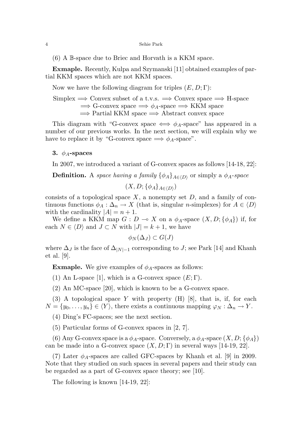(6) A B-space due to Briec and Horvath is a KKM space.

Exmaple. Recently, Kulpa and Szymanski [11] obtained examples of partial KKM spaces which are not KKM spaces.

Now we have the following diagram for triples  $(E, D; \Gamma)$ :

Simplex  $\Rightarrow$  Convex subset of a t.v.s.  $\Rightarrow$  Convex space  $\Rightarrow$  H-space  $\Rightarrow$  G-convex space  $\Rightarrow \phi_A$ -space  $\Rightarrow$  KKM space =⇒ Partial KKM space =⇒ Abstract convex space

This diagram with "G-convex space  $\iff \phi_A$ -space" has appeared in a number of our previous works. In the next section, we will explain why we have to replace it by "G-convex space  $\Rightarrow \phi_A$ -space".

# 3.  $\phi_A$ -spaces

In 2007, we introduced a variant of G-convex spaces as follows [14-18, 22]:

**Definition.** A space having a family  $\{\phi_A\}_{A\in\langle D\rangle}$  or simply a  $\phi_A$ -space

 $(X,D; \{\phi_A\}_{A \in \langle D \rangle})$ 

consists of a topological space  $X$ , a nonempty set  $D$ , and a family of continuous functions  $\phi_A : \Delta_n \to X$  (that is, singular *n*-simplexes) for  $A \in \langle D \rangle$ with the cardinality  $|A| = n + 1$ .

We define a KKM map  $G: D \to X$  on a  $\phi_A$ -space  $(X, D; {\phi_A})$  if, for each  $N \in \langle D \rangle$  and  $J \subset N$  with  $|J| = k + 1$ , we have

$$
\phi_N(\Delta_J) \subset G(J)
$$

where  $\Delta_J$  is the face of  $\Delta_{|N|=1}$  corresponding to J; see Park [14] and Khanh et al. [9].

**Exmaple.** We give examples of  $\phi_A$ -spaces as follows:

(1) An L-space [1], which is a G-convex space  $(E; \Gamma)$ .

(2) An MC-space [20], which is known to be a G-convex space.

(3) A topological space Y with property  $(H)$  [8], that is, if, for each  $N = \{y_0, \ldots, y_n\} \in \langle Y \rangle$ , there exists a continuous mapping  $\varphi_N : \Delta_n \to Y$ .

(4) Ding's FC-spaces; see the next section.

(5) Particular forms of G-convex spaces in [2, 7].

(6) Any G-convex space is a  $\phi_A$ -space. Conversely, a  $\phi_A$ -space  $(X, D; {\phi_A})$ can be made into a G-convex space  $(X, D; \Gamma)$  in several ways [14-19, 22].

(7) Later  $\phi_A$ -spaces are called GFC-spaces by Khanh et al. [9] in 2009. Note that they studied on such spaces in several papers and their study can be regarded as a part of G-convex space theory; see [10].

The following is known [14-19, 22]: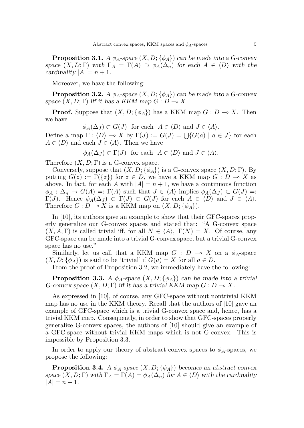**Proposition 3.1.** A  $\phi_A$ -space  $(X, D; {\phi_A})$  can be made into a G-convex space  $(X, D; \Gamma)$  with  $\Gamma_A = \Gamma(A) \supset \phi_A(\Delta_n)$  for each  $A \in \langle D \rangle$  with the cardinality  $|A| = n + 1$ .

Moreover, we have the following:

**Proposition 3.2.** A  $\phi_A$ -space  $(X, D; {\phi_A})$  can be made into a G-convex space  $(X, D; \Gamma)$  iff it has a KKM map  $G: D \longrightarrow X$ .

**Proof.** Suppose that  $(X, D; {\phi_A})$  has a KKM map  $G : D \to X$ . Then we have

 $\phi_A(\Delta_J) \subset G(J)$  for each  $A \in \langle D \rangle$  and  $J \in \langle A \rangle$ .

Define a map  $\Gamma : \langle D \rangle \to X$  by  $\Gamma(J) := G(J) = \bigcup \{ G(a) \mid a \in J \}$  for each  $A \in \langle D \rangle$  and each  $J \in \langle A \rangle$ . Then we have

$$
\phi_A(\Delta_J) \subset \Gamma(J)
$$
 for each  $A \in \langle D \rangle$  and  $J \in \langle A \rangle$ .

Therefore  $(X, D; \Gamma)$  is a G-convex space.

Conversely, suppose that  $(X, D; {\phi_A})$  is a G-convex space  $(X, D; \Gamma)$ . By putting  $G(z) := \Gamma({z})$  for  $z \in D$ , we have a KKM map  $G : D \to X$  as above. In fact, for each A with  $|A| = n + 1$ , we have a continuous function  $\phi_A : \Delta_n \to G(A) =: \Gamma(A)$  such that  $J \in \langle A \rangle$  implies  $\phi_A(\Delta_J) \subset G(J) =:$  $\Gamma(J)$ . Hence  $\phi_A(\Delta_J) \subset \Gamma(J) \subset G(J)$  for each  $A \in \langle D \rangle$  and  $J \in \langle A \rangle$ . Therefore  $G: D \to X$  is a KKM map on  $(X, D; {\phi_A})$ .

In [10], its authors gave an example to show that their GFC-spaces properly generalize our G-convex spaces and stated that: "A G-convex space  $(X, A, \Gamma)$  is called trivial iff, for all  $N \in \langle A \rangle$ ,  $\Gamma(N) = X$ . Of course, any GFC-space can be made into a trivial G-convex space, but a trivial G-convex space has no use."

Similarly, let us call that a KKM map  $G : D \multimap X$  on a  $\phi_A$ -space  $(X, D; {\phi_A})$  is said to be 'trivial' if  $G(a) = X$  for all  $a \in D$ .

From the proof of Proposition 3.2, we immediately have the following:

**Proposition 3.3.** A  $\phi_A$ -space  $(X, D; {\phi_A})$  can be made into a trivial G-convex space  $(X, D; \Gamma)$  iff it has a trivial KKM map  $G: D \to X$ .

As expressed in [10], of course, any GFC-space without nontrivial KKM map has no use in the KKM theory. Recall that the authors of [10] gave an example of GFC-space which is a trivial G-convex space and, hence, has a trivial KKM map. Consequently, in order to show that GFC-spaces properly generalize G-convex spaces, the authors of [10] should give an example of a GFC-space without trivial KKM maps which is not G-convex. This is impossible by Proposition 3.3.

In order to apply our theory of abstract convex spaces to  $\phi_A$ -spaces, we propose the following:

**Proposition 3.4.** A  $\phi_A$ -space  $(X, D; {\phi_A})$  becomes an abstract convex space  $(X, D; \Gamma)$  with  $\Gamma_A = \Gamma(A) = \phi_A(\Delta_n)$  for  $A \in \langle D \rangle$  with the cardinality  $|A| = n + 1.$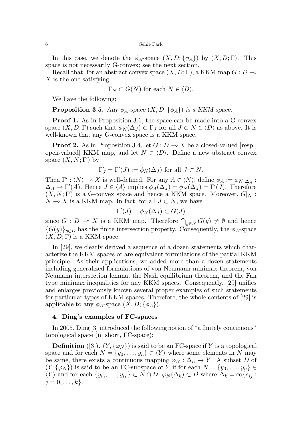#### 6 Sehie Park

In this case, we denote the  $\phi_A$ -space  $(X, D; {\phi_A})$  by  $(X, D; \Gamma)$ . This space is not necessarily G-convex; see the next section.

Recall that, for an abstract convex space  $(X, D; \Gamma)$ , a KKM map  $G: D \rightarrow$ X is the one satisfying

$$
\Gamma_N \subset G(N)
$$
 for each  $N \in \langle D \rangle$ .

We have the following:

**Proposition 3.5.** Any  $\phi_A$ -space  $(X, D; {\phi_A})$  is a KKM space.

**Proof 1.** As in Proposition 3.1, the space can be made into a G-convex space  $(X, D; \Gamma)$  such that  $\phi_N(\Delta_J) \subset \Gamma_J$  for all  $J \subset N \in \langle D \rangle$  as above. It is well-known that any G-convex space is a KKM space.

**Proof 2.** As in Proposition 3.4, let  $G: D \to X$  be a closed-valued [resp., open-valued] KKM map, and let  $N \in \langle D \rangle$ . Define a new abstract convex space  $(X, N; \Gamma')$  by

$$
\Gamma'_J = \Gamma'(J) := \phi_N(\Delta_J)
$$
 for all  $J \subset N$ .

Then  $\Gamma': \langle N \rangle \to X$  is well-defined. For any  $A \in \langle N \rangle$ , define  $\phi_A := \phi_N|_{\Delta_A}$ :  $\Delta_A \to \Gamma'(A)$ . Hence  $J \in \langle A \rangle$  implies  $\phi_A(\Delta_J) = \phi_N(\Delta_J) = \Gamma'(J)$ . Therefore  $(X, N; \Gamma')$  is a G-convex space and hence a KKM space. Moreover,  $G|_N$ :  $N \multimap X$  is a KKM map. In fact, for all  $J \subset N$ , we have

$$
\Gamma'(J) = \phi_N(\Delta_J) \subset G(J)
$$

since  $G: D \to X$  is a KKM map. Therefore  $\bigcap_{y \in N} G(y) \neq \emptyset$  and hence  ${G(y)}_{y\in D}$  has the finite intersection property. Consequently, the  $\phi_A$ -space  $(X, D; \Gamma)$  is a KKM space.

In [29], we clearly derived a sequence of a dozen statements which characterize the KKM spaces or are equivalent formulations of the partial KKM principle. As their applications, we added more than a dozen statements including generalized formulations of von Neumann minimax theorem, von Neumann intersection lemma, the Nash equilibrium theorem, and the Fan type minimax inequalities for any KKM spaces. Consequently, [29] unifies and enlarges previously known several proper examples of such statements for particular types of KKM spaces. Therefore, the whole contents of [29] is applicable to any  $\phi_A$ -space  $(X, D; {\phi_A})$ .

### 4. Ding's examples of FC-spaces

In 2005, Ding [3] introduced the following notion of "a finitely continuous" topological space (in short, FC-space):

**Definition** ([3]).  $(Y, \{\varphi_N\})$  is said to be an FC-space if Y is a topological space and for each  $N = \{y_0, \ldots, y_n\} \in \langle Y \rangle$  where some elements in N may be same, there exists a continuous mapping  $\varphi_N : \Delta_n \to Y$ . A subset D of  $(Y, \{\varphi_N\})$  is said to be an FC-subspace of Y if for each  $N = \{y_0, \ldots, y_n\}$  $\langle Y \rangle$  and for each  $\{y_{i_0}, \ldots, y_{i_k}\} \subset N \cap D$ ,  $\varphi_N(\Delta_k) \subset D$  where  $\Delta_k = \text{co}\{e_{i_j}$ :  $j = 0, \ldots, k$ .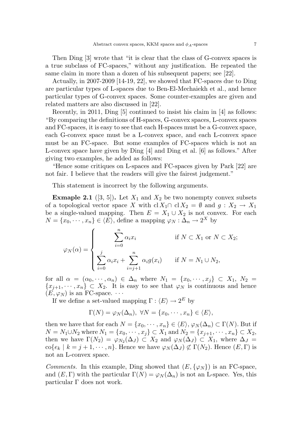Then Ding [3] wrote that "it is clear that the class of G-convex spaces is a true subclass of FC-spaces," without any justification. He repeated the same claim in more than a dozen of his subsequent papers; see [22].

Actually, in 2007-2009 [14-19, 22], we showed that FC-spaces due to Ding are particular types of L-spaces due to Ben-El-Mechaiekh et al., and hence particular types of G-convex spaces. Some counter-examples are given and related matters are also discussed in [22].

Recently, in 2011, Ding [5] continued to insist his claim in [4] as follows: "By comparing the definitions of H-spaces, G-convex spaces, L-convex spaces and FC-spaces, it is easy to see that each H-spaces must be a G-convex space, each G-convex space must be a L-convex space, and each L-convex space must be an FC-space. But some examples of FC-spaces which is not an L-convex space have given by Ding [4] and Ding et al. [6] as follows." After giving two examples, he added as follows:

"Hence some critiques on L-spaces and FC-spaces given by Park [22] are not fair. I believe that the readers will give the fairest judgement."

This statement is incorrect by the following arguments.

**Exmaple 2.1** ([3, 5]). Let  $X_1$  and  $X_2$  be two nonempty convex subsets of a topological vector space X with  $\text{cl } X_1 \cap \text{cl } X_2 = \emptyset$  and  $g: X_2 \to X_1$ be a single-valued mapping. Then  $E = X_1 \cup X_2$  is not convex. For each  $N = \{x_0, \dots, x_n\} \in \langle E \rangle$ , define a mapping  $\varphi_N : \Delta_n \to 2^X$  by

$$
\varphi_N(\alpha) = \begin{cases}\n\sum_{i=0}^n \alpha_i x_i & \text{if } N \subset X_1 \text{ or } N \subset X_2; \\
\sum_{i=0}^j \alpha_i x_i + \sum_{i=j+1}^n \alpha_i g(x_i) & \text{if } N = N_1 \cup N_2,\n\end{cases}
$$

for all  $\alpha = (\alpha_0, \dots, \alpha_n) \in \Delta_n$  where  $N_1 = \{x_0, \dots, x_j\} \subset X_1, N_2 =$  ${x_{j+1}, \dots, x_n} \subset X_2$ . It is easy to see that  $\varphi_N$  is continuous and hence  $(E, \varphi_N)$  is an FC-space.  $\cdots$ 

If we define a set-valued mapping  $\Gamma : \langle E \rangle \to 2^E$  by

$$
\Gamma(N) = \varphi_N(\Delta_n), \ \forall N = \{x_0, \cdots, x_n\} \in \langle E \rangle,
$$

then we have that for each  $N = \{x_0, \dots, x_n\} \in \langle E \rangle$ ,  $\varphi_N(\Delta_n) \subset \Gamma(N)$ . But if  $N = N_1 \cup N_2$  where  $N_1 = \{x_0, \dots, x_j\} \subset X_1$  and  $N_2 = \{x_{j+1}, \dots, x_n\} \subset X_2$ , then we have  $\Gamma(N_2) = \varphi_{N_2}(\Delta_J) \subset X_2$  and  $\varphi_N(\Delta_J) \subset X_1$ , where  $\Delta_J =$  $\operatorname{co}\{e_k \mid k = j + 1, \cdots, n\}.$  Hence we have  $\varphi_N(\Delta_J) \not\subset \Gamma(N_2)$ . Hence  $(E, \Gamma)$  is not an L-convex space.

*Comments.* In this example, Ding showed that  $(E, \{\varphi_N\})$  is an FC-space, and  $(E, \Gamma)$  with the particular  $\Gamma(N) = \varphi_N(\Delta_n)$  is not an L-space. Yes, this particular Γ does not work.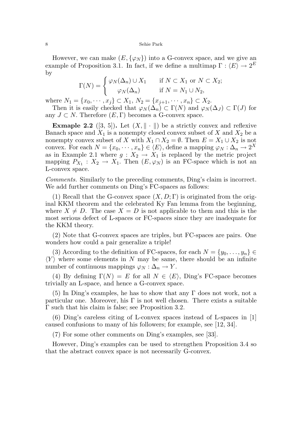#### 8 Sehie Park

However, we can make  $(E, \{\varphi_N\})$  into a G-convex space, and we give an example of Proposition 3.1. In fact, if we define a multimap  $\Gamma : \langle E \rangle \to 2^E$ by

$$
\Gamma(N) = \begin{cases} \varphi_N(\Delta_n) \cup X_1 & \text{if } N \subset X_1 \text{ or } N \subset X_2; \\ \varphi_N(\Delta_n) & \text{if } N = N_1 \cup N_2, \end{cases}
$$

where  $N_1 = \{x_0, \dots, x_j\} \subset X_1, N_2 = \{x_{j+1}, \dots, x_n\} \subset X_2$ .

Then it is easily checked that  $\varphi_N(\Delta_n) \subset \Gamma(N)$  and  $\varphi_N(\Delta_j) \subset \Gamma(J)$  for any  $J \subset N$ . Therefore  $(E, \Gamma)$  becomes a G-convex space.

**Exmaple 2.2** ([3, 5]). Let  $(X, \| \cdot \|)$  be a strictly convex and reflexive Banach space and  $X_1$  is a nonempty closed convex subset of X and  $X_2$  be a nonempty convex subset of X with  $X_1 \cap X_2 = \emptyset$ . Then  $E = X_1 \cup X_2$  is not convex. For each  $N = \{x_0, \dots, x_n\} \in \langle E \rangle$ , define a mapping  $\varphi_N : \Delta_n \to 2^X$ as in Example 2.1 where  $g: X_2 \to X_1$  is replaced by the metric project mapping  $P_{X_1} : X_2 \to X_1$ . Then  $(E, \varphi_N)$  is an FC-space which is not an L-convex space.

Comments. Similarly to the preceding comments, Ding's claim is incorrect. We add further comments on Ding's FC-spaces as follows:

(1) Recall that the G-convex space  $(X, D; \Gamma)$  is originated from the original KKM theorem and the celebrated Ky Fan lemma from the beginning, where  $X \neq D$ . The case  $X = D$  is not applicable to them and this is the most serious defect of L-spaces or FC-spaces since they are inadequate for the KKM theory.

(2) Note that G-convex spaces are triples, but FC-spaces are pairs. One wonders how could a pair generalize a triple!

(3) According to the definition of FC-spaces, for each  $N = \{y_0, \ldots, y_n\}$  $\langle Y \rangle$  where some elements in N may be same, there should be an infinite number of continuous mappings  $\varphi_N : \Delta_n \to Y$ .

(4) By defining  $\Gamma(N) = E$  for all  $N \in \langle E \rangle$ , Ding's FC-space becomes trivially an L-space, and hence a G-convex space.

(5) In Ding's examples, he has to show that any  $\Gamma$  does not work, not a particular one. Moreover, his  $\Gamma$  is not well chosen. There exists a suitable Γ such that his claim is false; see Proposition 3.2.

(6) Ding's careless citing of L-convex spaces instead of L-spaces in [1] caused confusions to many of his followers; for example, see [12, 34].

(7) For some other comments on Ding's examples, see [33].

However, Ding's examples can be used to strengthen Proposition 3.4 so that the abstract convex space is not necessarily G-convex.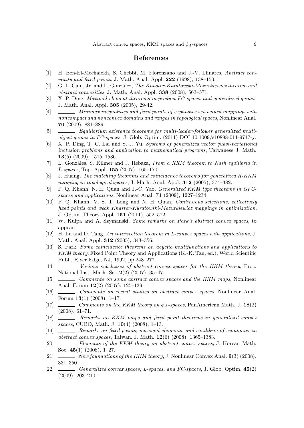### References

- [1] H. Ben-El-Mechaiekh, S. Chebbi, M. Florenzano and J.-V. Llinares, Abstract convexity and fixed points, J. Math. Anal. Appl. 222 (1998), 138–150.
- [2] G. L. Cain, Jr. and L. González, The Knaster-Kuratowski-Mazurkiewicz theorem and abstract convexities, J. Math. Anal. Appl. 338 (2008), 563–571.
- [3] X. P. Ding, Maximal element theorems in product FC-spaces and generalized games, J. Math. Anal. Appl. 305 (2005), 29-42.
- [4]  $\Box$ , Minimax inequalities and fixed points of expansive set-valued mappings with noncompact and nonconvex domains and ranges in topological spaces, Nonlinear Anal. 70 (2009), 881–889.
- [5] , Equilibrium existence theorems for multi-leader-follower generalized multiobject games in FC-spaces, J. Glob. Optim. (2011) DOI 10.1009/s10898-011-9717-y.
- [6] X. P. Ding, T. C. Lai and S. J. Yu, Systems of generalized vector quasi-variational inclusion problems and application to mathematical programs, Taiwanese J. Math. 13(5) (2009), 1515–1536.
- [7] L. Gonzáles, S. Kilmer and J. Rebaza, From a KKM theorem to Nash equilibria in L-spaces, Top. Appl. 155 (2007), 165–170.
- [8] J. Huang, The matching theorems and coincidence theorems for generalized R-KKM mapping in topological spaces, J. Math. Anal. Appl. 312 (2005), 374-382.
- [9] P. Q. Khanh, N. H. Quan and J.-C. Yao, Generalized KKM type theorems in GFCspaces and applications, Nonlinear Anal. 71 (2009), 1227–1234.
- [10] P. Q. Khanh, V. S. T. Long and N. H. Quan, *Continuous selections, collectively* fixed points and weak Knaster-Kuratowski-Mazurkiewicz mappings in optimization, J. Optim. Theory Appl. 151 (2011), 552–572.
- [11] W. Kulpa and A. Szymanski, Some remarks on Park's abstract convex spaces, to appear.
- [12] H. Lu and D. Tang, An intersection theorem in L-convex spaces with applications, J. Math. Anal. Appl. 312 (2005), 343–356.
- [13] S. Park, Some coincidence theorems on acyclic multifunctions and applications to KKM theory, Fixed Point Theory and Applications (K.-K. Tan, ed.), World Scientific Publ., River Edge, NJ, 1992, pp.248–277.
- $[14]$   $\_\_\_\_\_\$ n, Various subclasses of abstract convex spaces for the KKM theory, Proc. National Inst. Math. Sci. 2(2) (2007), 35–47.
- [15] Comments on some abstract convex spaces and the KKM maps, Nonlinear Anal. Forum 12(2) (2007), 125–139.
- [16] , Comments on recent studies on abstract convex spaces, Nonlinear Anal. Forum  $13(1)$  (2008), 1-17.
- [17] , Comments on the KKM theory on  $\phi_A$ -spaces, PanAmerican Math. J. 18(2) (2008), 61–71.
- [18] , Remarks on KKM maps and fixed point theorems in generalized convex spaces, CUBO, Math. J.  $10(4)$  (2008), 1-13.
- [19] , Remarks on fixed points, maximal elements, and equilibria of economies in abstract convex spaces, Taiwan. J. Math. 12(6) (2008), 1365–1383.
- [20] , Elements of the KKM theory on abstract convex spaces, J. Korean Math. Soc. 45(1) (2008), 1–27.
- [21]  $\_\_\_\_\_\_\_\_\_\_\_\_\_\_\_\_\_\_\_\.\_\_\_\_\_\_\_\_\_\.\_$  Nonlinear Convex Anal. 9(3) (2008), 331–350.
- [22]  $\_\_\_\_\$ , Generalized convex spaces, L-spaces, and FC-spaces, J. Glob. Optim.  $45(2)$ (2009), 203–210.